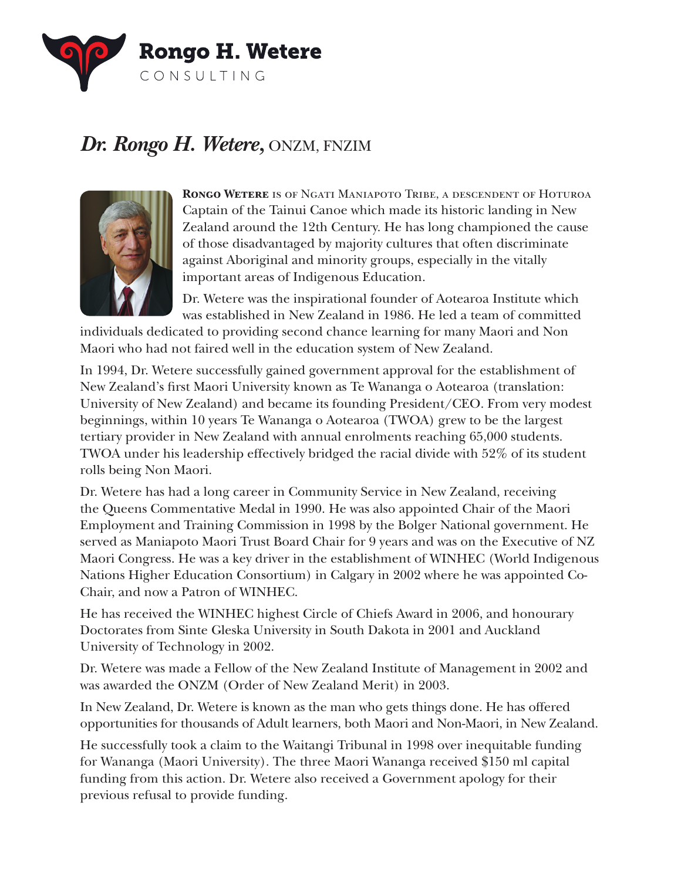

## *Dr. Rongo H. Wetere,* ONZM, FNZIM



**Rongo Wetere** is of Ngati Maniapoto Tribe, a descendent of Hoturoa Captain of the Tainui Canoe which made its historic landing in New Zealand around the 12th Century. He has long championed the cause of those disadvantaged by majority cultures that often discriminate against Aboriginal and minority groups, especially in the vitally important areas of Indigenous Education.

Dr. Wetere was the inspirational founder of Aotearoa Institute which was established in New Zealand in 1986. He led a team of committed

individuals dedicated to providing second chance learning for many Maori and Non Maori who had not faired well in the education system of New Zealand.

In 1994, Dr. Wetere successfully gained government approval for the establishment of New Zealand's frst Maori University known as Te Wananga o Aotearoa (translation: University of New Zealand) and became its founding President/CEO. From very modest beginnings, within 10 years Te Wananga o Aotearoa (TWOA) grew to be the largest tertiary provider in New Zealand with annual enrolments reaching 65,000 students. TWOA under his leadership effectively bridged the racial divide with 52% of its student rolls being Non Maori.

Dr. Wetere has had a long career in Community Service in New Zealand, receiving the Queens Commentative Medal in 1990. He was also appointed Chair of the Maori Employment and Training Commission in 1998 by the Bolger National government. He served as Maniapoto Maori Trust Board Chair for 9 years and was on the Executive of NZ Maori Congress. He was a key driver in the establishment of WINHEC (World Indigenous Nations Higher Education Consortium) in Calgary in 2002 where he was appointed Co-Chair, and now a Patron of WINHEC.

He has received the WINHEC highest Circle of Chiefs Award in 2006, and honourary Doctorates from Sinte Gleska University in South Dakota in 2001 and Auckland University of Technology in 2002.

Dr. Wetere was made a Fellow of the New Zealand Institute of Management in 2002 and was awarded the ONZM (Order of New Zealand Merit) in 2003.

In New Zealand, Dr. Wetere is known as the man who gets things done. He has offered opportunities for thousands of Adult learners, both Maori and Non-Maori, in New Zealand.

He successfully took a claim to the Waitangi Tribunal in 1998 over inequitable funding for Wananga (Maori University). The three Maori Wananga received \$150 ml capital funding from this action. Dr. Wetere also received a Government apology for their previous refusal to provide funding.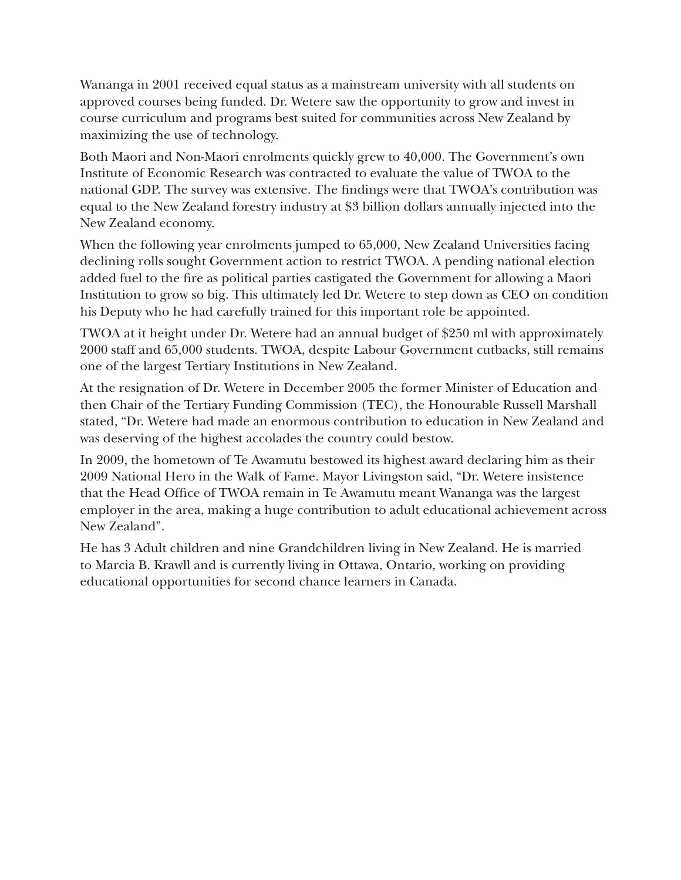Wananga in 2001 received equal status as a mainstream university with all students on approved courses being funded. Dr. Wetere saw the opportunity to grow and invest in course curriculum and programs best suited for communities across New Zealand by maximizing the use of technology.

Both Maori and Non-Maori enrolments quickly grew to 40,000. The Government's own Institute of Economic Research was contracted to evaluate the value of TWOA to the national GDP. The survey was extensive. The fndings were that TWOA's contribution was equal to the New Zealand forestry industry at \$3 billion dollars annually injected into the New Zealand economy.

When the following year enrolments jumped to 65,000, New Zealand Universities facing declining rolls sought Government action to restrict TWOA. A pending national election added fuel to the fre as political parties castigated the Government for allowing a Maori Institution to grow so big. This ultimately led Dr. Wetere to step down as CEO on condition his Deputy who he had carefully trained for this important role be appointed.

TWOA at it height under Dr. Wetere had an annual budget of \$250 ml with approximately 2000 staff and 65,000 students. TWOA, despite Labour Government cutbacks, still remains one of the largest Tertiary Institutions in New Zealand.

At the resignation of Dr. Wetere in December 2005 the former Minister of Education and then Chair of the Tertiary Funding Commission (TEC), the Honourable Russell Marshall stated, "Dr. Wetere had made an enormous contribution to education in New Zealand and was deserving of the highest accolades the country could bestow.

In 2009, the hometown of Te Awamutu bestowed its highest award declaring him as their 2009 National Hero in the Walk of Fame. Mayor Livingston said, "Dr. Wetere insistence that the Head Offce of TWOA remain in Te Awamutu meant Wananga was the largest employer in the area, making a huge contribution to adult educational achievement across New Zealand".

He has 3 Adult children and nine Grandchildren living in New Zealand. He is married to Marcia B. Krawll and is currently living in Ottawa, Ontario, working on providing educational opportunities for second chance learners in Canada.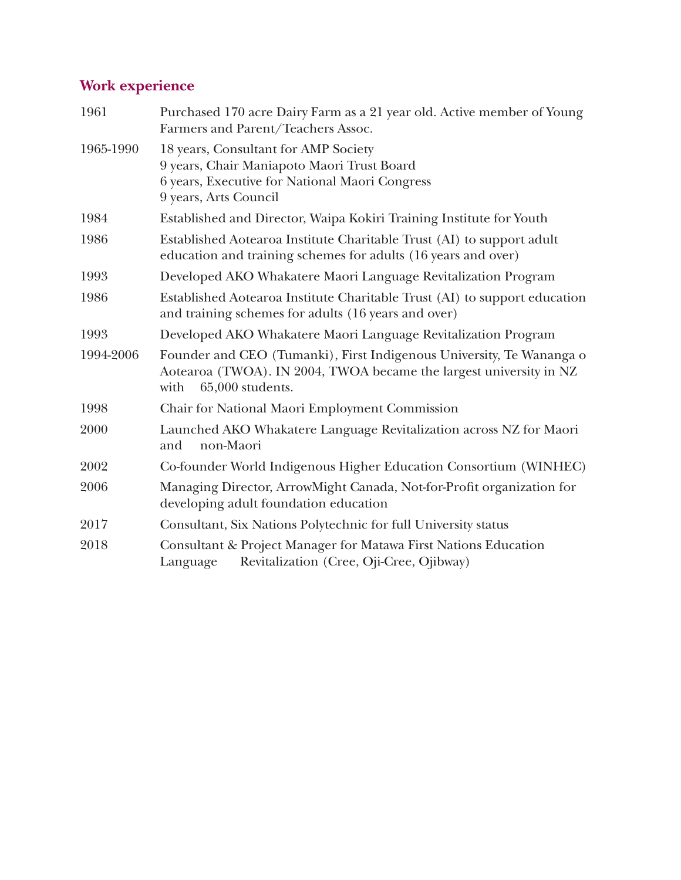## **Work experience**

| 1961      | Purchased 170 acre Dairy Farm as a 21 year old. Active member of Young<br>Farmers and Parent/Teachers Assoc.                                                           |
|-----------|------------------------------------------------------------------------------------------------------------------------------------------------------------------------|
| 1965-1990 | 18 years, Consultant for AMP Society<br>9 years, Chair Maniapoto Maori Trust Board<br>6 years, Executive for National Maori Congress<br>9 years, Arts Council          |
| 1984      | Established and Director, Waipa Kokiri Training Institute for Youth                                                                                                    |
| 1986      | Established Aotearoa Institute Charitable Trust (AI) to support adult<br>education and training schemes for adults (16 years and over)                                 |
| 1993      | Developed AKO Whakatere Maori Language Revitalization Program                                                                                                          |
| 1986      | Established Aotearoa Institute Charitable Trust (AI) to support education<br>and training schemes for adults (16 years and over)                                       |
| 1993      | Developed AKO Whakatere Maori Language Revitalization Program                                                                                                          |
| 1994-2006 | Founder and CEO (Tumanki), First Indigenous University, Te Wananga o<br>Aotearoa (TWOA). IN 2004, TWOA became the largest university in NZ<br>65,000 students.<br>with |
| 1998      | Chair for National Maori Employment Commission                                                                                                                         |
| 2000      | Launched AKO Whakatere Language Revitalization across NZ for Maori<br>non-Maori<br>and                                                                                 |
| 2002      | Co-founder World Indigenous Higher Education Consortium (WINHEC)                                                                                                       |
| 2006      | Managing Director, ArrowMight Canada, Not-for-Profit organization for<br>developing adult foundation education                                                         |
| 2017      | Consultant, Six Nations Polytechnic for full University status                                                                                                         |
| 2018      | Consultant & Project Manager for Matawa First Nations Education<br>Revitalization (Cree, Oji-Cree, Ojibway)<br>Language                                                |